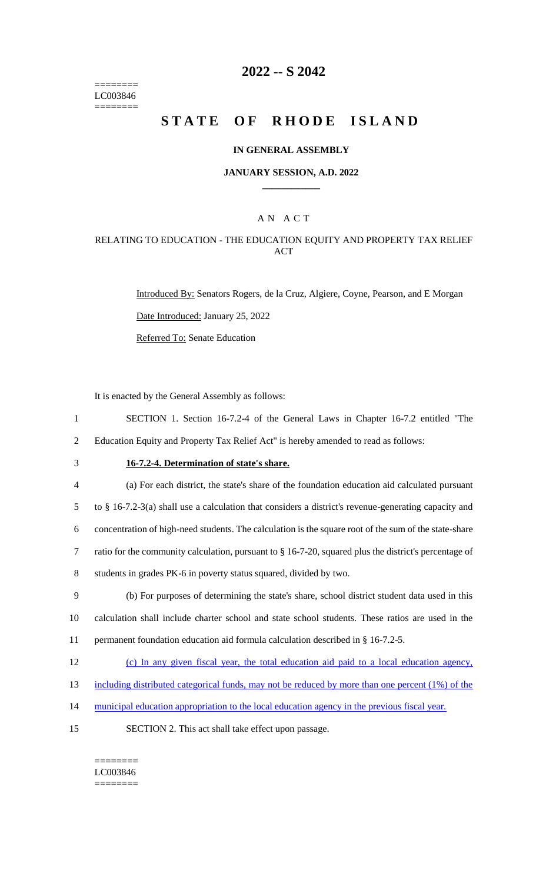======== LC003846 ========

### **2022 -- S 2042**

# **STATE OF RHODE ISLAND**

#### **IN GENERAL ASSEMBLY**

#### **JANUARY SESSION, A.D. 2022 \_\_\_\_\_\_\_\_\_\_\_\_**

### A N A C T

### RELATING TO EDUCATION - THE EDUCATION EQUITY AND PROPERTY TAX RELIEF ACT

Introduced By: Senators Rogers, de la Cruz, Algiere, Coyne, Pearson, and E Morgan Date Introduced: January 25, 2022 Referred To: Senate Education

It is enacted by the General Assembly as follows:

- 1 SECTION 1. Section 16-7.2-4 of the General Laws in Chapter 16-7.2 entitled "The 2 Education Equity and Property Tax Relief Act" is hereby amended to read as follows:
- 

# 3 **16-7.2-4. Determination of state's share.**

| $\overline{4}$ | (a) For each district, the state's share of the foundation education aid calculated pursuant             |
|----------------|----------------------------------------------------------------------------------------------------------|
| 5              | to $\S$ 16-7.2-3(a) shall use a calculation that considers a district's revenue-generating capacity and  |
| 6              | concentration of high-need students. The calculation is the square root of the sum of the state-share    |
| 7              | ratio for the community calculation, pursuant to $\S$ 16-7-20, squared plus the district's percentage of |
| 8              | students in grades PK-6 in poverty status squared, divided by two.                                       |
| 9              | (b) For purposes of determining the state's share, school district student data used in this             |

10 calculation shall include charter school and state school students. These ratios are used in the 11 permanent foundation education aid formula calculation described in § 16-7.2-5.

- 12 (c) In any given fiscal year, the total education aid paid to a local education agency,
- 13 including distributed categorical funds, may not be reduced by more than one percent (1%) of the
- 14 municipal education appropriation to the local education agency in the previous fiscal year.
- 15 SECTION 2. This act shall take effect upon passage.

======== LC003846 ========